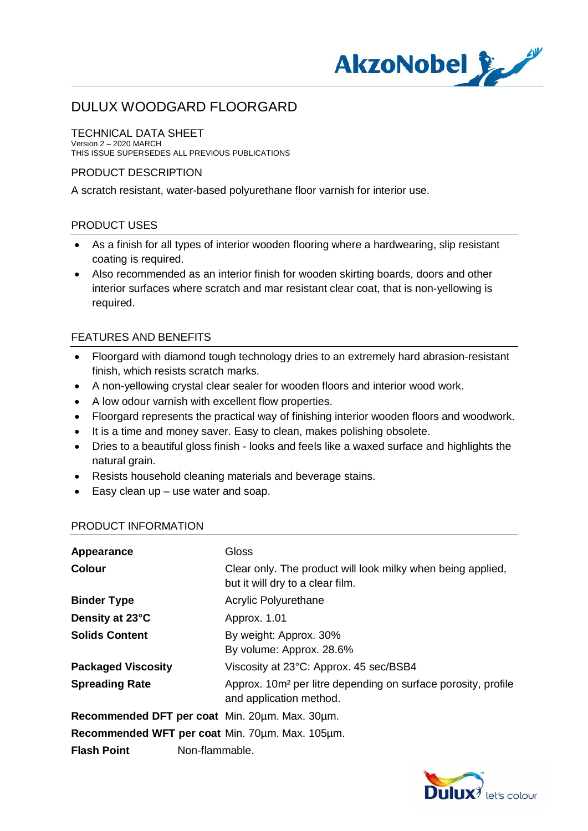

### TECHNICAL DATA SHEET

Version 2 – 2020 MARCH THIS ISSUE SUPERSEDES ALL PREVIOUS PUBLICATIONS

### PRODUCT DESCRIPTION

A scratch resistant, water-based polyurethane floor varnish for interior use.

### PRODUCT USES

- · As a finish for all types of interior wooden flooring where a hardwearing, slip resistant coating is required.
- · Also recommended as an interior finish for wooden skirting boards, doors and other interior surfaces where scratch and mar resistant clear coat, that is non-yellowing is required.

### FEATURES AND BENEFITS

- · Floorgard with diamond tough technology dries to an extremely hard abrasion-resistant finish, which resists scratch marks.
- · A non-yellowing crystal clear sealer for wooden floors and interior wood work.
- · A low odour varnish with excellent flow properties.
- · Floorgard represents the practical way of finishing interior wooden floors and woodwork.
- It is a time and money saver. Easy to clean, makes polishing obsolete.
- · Dries to a beautiful gloss finish looks and feels like a waxed surface and highlights the natural grain.
- · Resists household cleaning materials and beverage stains.
- · Easy clean up use water and soap.

#### PRODUCT INFORMATION

| Appearance                                      | Gloss                                                                                                |  |
|-------------------------------------------------|------------------------------------------------------------------------------------------------------|--|
| <b>Colour</b>                                   | Clear only. The product will look milky when being applied,<br>but it will dry to a clear film.      |  |
| <b>Binder Type</b>                              | Acrylic Polyurethane                                                                                 |  |
| Density at 23°C                                 | Approx. 1.01                                                                                         |  |
| <b>Solids Content</b>                           | By weight: Approx. 30%<br>By volume: Approx. 28.6%                                                   |  |
| <b>Packaged Viscosity</b>                       | Viscosity at 23°C: Approx. 45 sec/BSB4                                                               |  |
| <b>Spreading Rate</b>                           | Approx. 10m <sup>2</sup> per litre depending on surface porosity, profile<br>and application method. |  |
|                                                 | Recommended DFT per coat Min. 20um. Max. 30um.                                                       |  |
| Recommended WFT per coat Min. 70um. Max. 105um. |                                                                                                      |  |
| <b>Flash Point</b>                              | Non-flammable.                                                                                       |  |

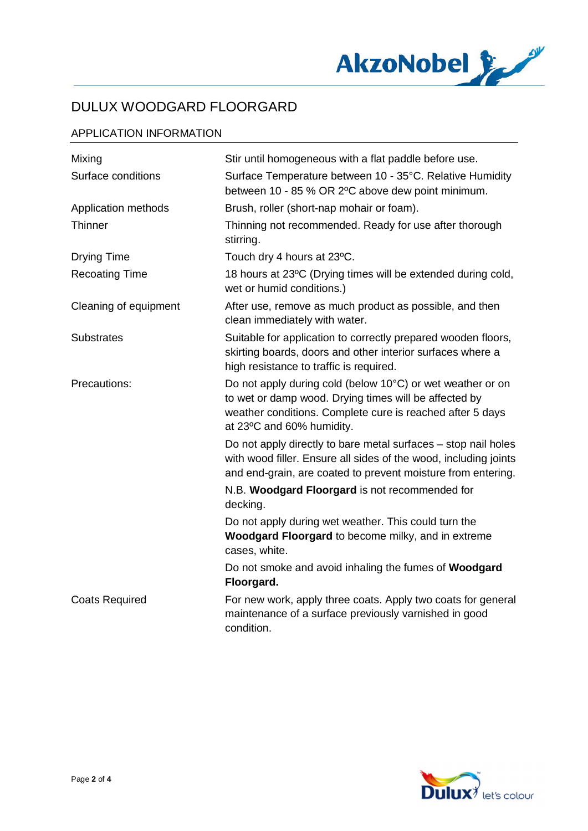

### APPLICATION INFORMATION

| Mixing                | Stir until homogeneous with a flat paddle before use.                                                                                                                                                         |
|-----------------------|---------------------------------------------------------------------------------------------------------------------------------------------------------------------------------------------------------------|
| Surface conditions    | Surface Temperature between 10 - 35°C. Relative Humidity<br>between 10 - 85 % OR 2°C above dew point minimum.                                                                                                 |
| Application methods   | Brush, roller (short-nap mohair or foam).                                                                                                                                                                     |
| Thinner               | Thinning not recommended. Ready for use after thorough<br>stirring.                                                                                                                                           |
| <b>Drying Time</b>    | Touch dry 4 hours at 23°C.                                                                                                                                                                                    |
| <b>Recoating Time</b> | 18 hours at 23°C (Drying times will be extended during cold,<br>wet or humid conditions.)                                                                                                                     |
| Cleaning of equipment | After use, remove as much product as possible, and then<br>clean immediately with water.                                                                                                                      |
| <b>Substrates</b>     | Suitable for application to correctly prepared wooden floors,<br>skirting boards, doors and other interior surfaces where a<br>high resistance to traffic is required.                                        |
| Precautions:          | Do not apply during cold (below 10°C) or wet weather or on<br>to wet or damp wood. Drying times will be affected by<br>weather conditions. Complete cure is reached after 5 days<br>at 23°C and 60% humidity. |
|                       | Do not apply directly to bare metal surfaces - stop nail holes<br>with wood filler. Ensure all sides of the wood, including joints<br>and end-grain, are coated to prevent moisture from entering.            |
|                       | N.B. Woodgard Floorgard is not recommended for<br>decking.                                                                                                                                                    |
|                       | Do not apply during wet weather. This could turn the<br>Woodgard Floorgard to become milky, and in extreme<br>cases, white.                                                                                   |
|                       | Do not smoke and avoid inhaling the fumes of Woodgard<br>Floorgard.                                                                                                                                           |
| <b>Coats Required</b> | For new work, apply three coats. Apply two coats for general<br>maintenance of a surface previously varnished in good<br>condition.                                                                           |

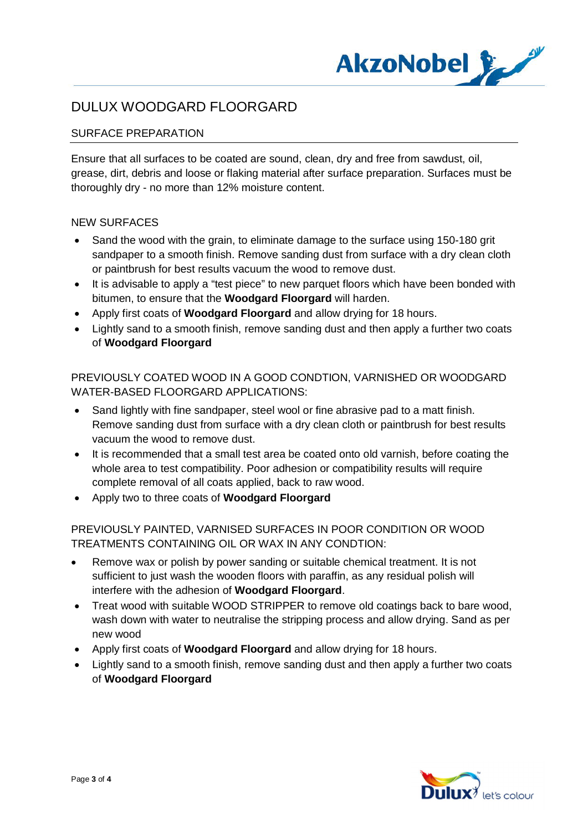

### SURFACE PREPARATION

Ensure that all surfaces to be coated are sound, clean, dry and free from sawdust, oil, grease, dirt, debris and loose or flaking material after surface preparation. Surfaces must be thoroughly dry - no more than 12% moisture content.

#### NEW SURFACES

- Sand the wood with the grain, to eliminate damage to the surface using 150-180 grit sandpaper to a smooth finish. Remove sanding dust from surface with a dry clean cloth or paintbrush for best results vacuum the wood to remove dust.
- · It is advisable to apply a "test piece" to new parquet floors which have been bonded with bitumen, to ensure that the **Woodgard Floorgard** will harden.
- · Apply first coats of **Woodgard Floorgard** and allow drying for 18 hours.
- · Lightly sand to a smooth finish, remove sanding dust and then apply a further two coats of **Woodgard Floorgard**

PREVIOUSLY COATED WOOD IN A GOOD CONDTION, VARNISHED OR WOODGARD WATER-BASED FLOORGARD APPLICATIONS:

- Sand lightly with fine sandpaper, steel wool or fine abrasive pad to a matt finish. Remove sanding dust from surface with a dry clean cloth or paintbrush for best results vacuum the wood to remove dust.
- · It is recommended that a small test area be coated onto old varnish, before coating the whole area to test compatibility. Poor adhesion or compatibility results will require complete removal of all coats applied, back to raw wood.
- · Apply two to three coats of **Woodgard Floorgard**

### PREVIOUSLY PAINTED, VARNISED SURFACES IN POOR CONDITION OR WOOD TREATMENTS CONTAINING OIL OR WAX IN ANY CONDTION:

- · Remove wax or polish by power sanding or suitable chemical treatment. It is not sufficient to just wash the wooden floors with paraffin, as any residual polish will interfere with the adhesion of **Woodgard Floorgard**.
- · Treat wood with suitable WOOD STRIPPER to remove old coatings back to bare wood, wash down with water to neutralise the stripping process and allow drying. Sand as per new wood
- · Apply first coats of **Woodgard Floorgard** and allow drying for 18 hours.
- · Lightly sand to a smooth finish, remove sanding dust and then apply a further two coats of **Woodgard Floorgard**